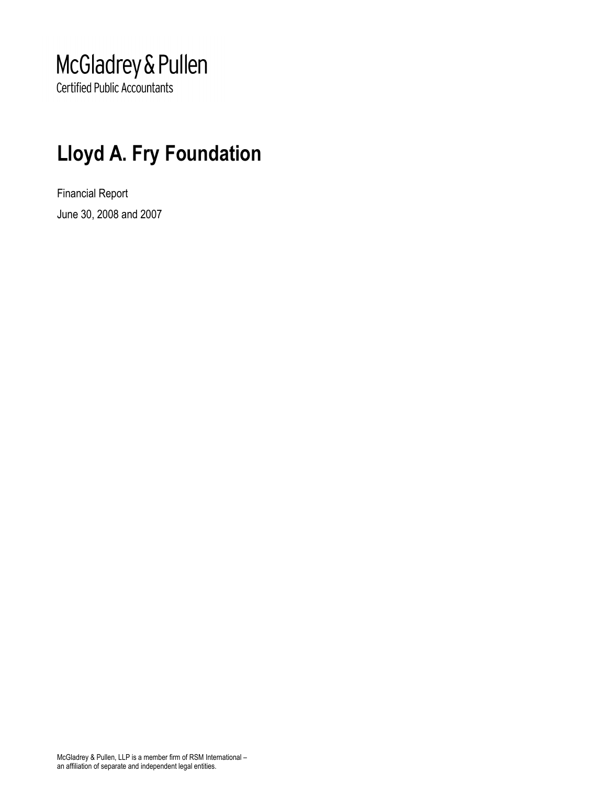## McGladrey & Pullen

**Certified Public Accountants** 

## Lloyd A. Fry Foundation

Financial Report June 30, 2008 and 2007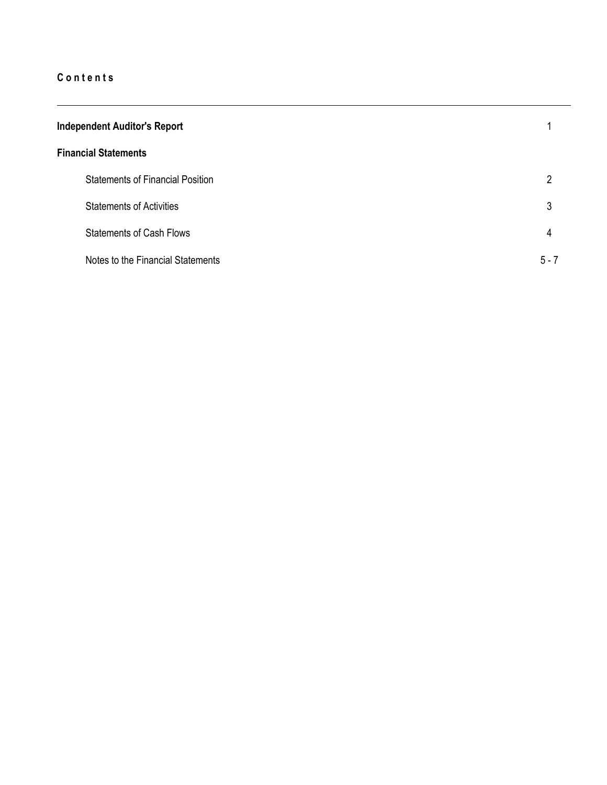| <b>Independent Auditor's Report</b> |                                         |         |
|-------------------------------------|-----------------------------------------|---------|
|                                     | <b>Financial Statements</b>             |         |
|                                     | <b>Statements of Financial Position</b> | 2       |
|                                     | <b>Statements of Activities</b>         | 3       |
|                                     | <b>Statements of Cash Flows</b>         | 4       |
|                                     | Notes to the Financial Statements       | $5 - 7$ |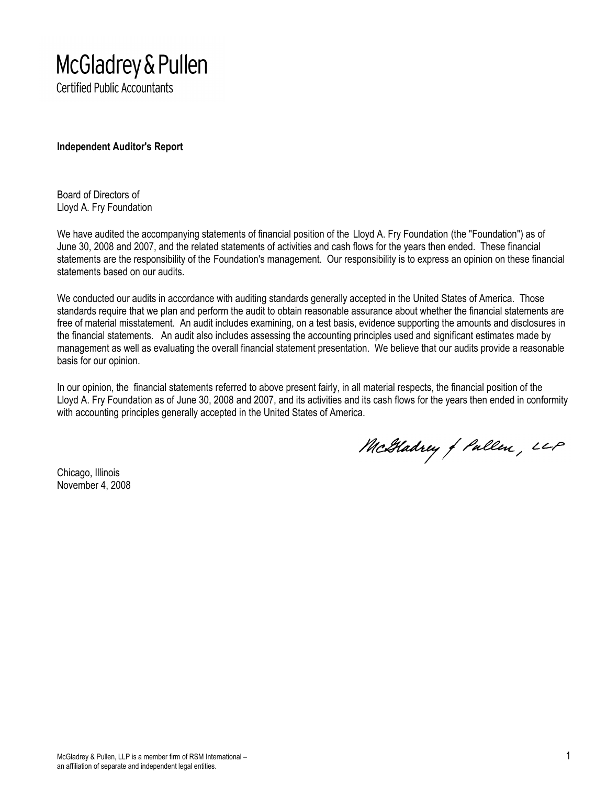# McGladrey & Pullen

**Certified Public Accountants** 

Independent Auditor's Report

Board of Directors of Lloyd A. Fry Foundation

We have audited the accompanying statements of financial position of the Lloyd A. Fry Foundation (the "Foundation") as of June 30, 2008 and 2007, and the related statements of activities and cash flows for the years then ended. These financial statements are the responsibility of the Foundation's management. Our responsibility is to express an opinion on these financial statements based on our audits.

We conducted our audits in accordance with auditing standards generally accepted in the United States of America. Those standards require that we plan and perform the audit to obtain reasonable assurance about whether the financial statements are free of material misstatement. An audit includes examining, on a test basis, evidence supporting the amounts and disclosures in the financial statements. An audit also includes assessing the accounting principles used and significant estimates made by management as well as evaluating the overall financial statement presentation. We believe that our audits provide a reasonable basis for our opinion.

In our opinion, the financial statements referred to above present fairly, in all material respects, the financial position of the Lloyd A. Fry Foundation as of June 30, 2008 and 2007, and its activities and its cash flows for the years then ended in conformity with accounting principles generally accepted in the United States of America.

McGladrey of Pallen, LLP

Chicago, Illinois November 4, 2008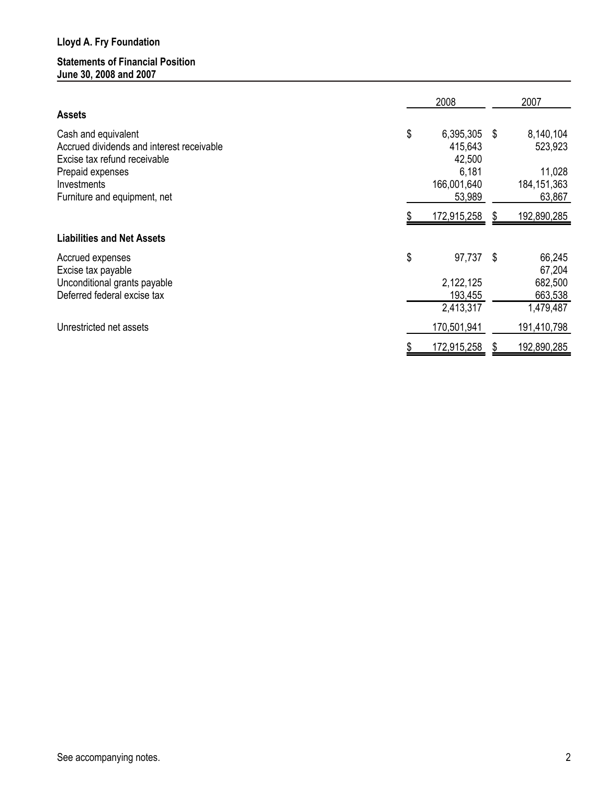#### Statements of Financial Position June 30, 2008 and 2007

|                                                                  | 2008                       |    | 2007                 |
|------------------------------------------------------------------|----------------------------|----|----------------------|
| <b>Assets</b>                                                    |                            |    |                      |
| Cash and equivalent<br>Accrued dividends and interest receivable | \$<br>6,395,305<br>415,643 | S  | 8,140,104<br>523,923 |
| Excise tax refund receivable                                     | 42,500                     |    |                      |
| Prepaid expenses                                                 | 6,181                      |    | 11,028               |
| Investments                                                      | 166,001,640                |    | 184, 151, 363        |
| Furniture and equipment, net                                     | 53,989                     |    | 63,867               |
|                                                                  | 172,915,258                | æ. | 192,890,285          |
| <b>Liabilities and Net Assets</b>                                |                            |    |                      |
| Accrued expenses                                                 | \$<br>97,737               | -S | 66,245               |
| Excise tax payable                                               |                            |    | 67,204               |
| Unconditional grants payable                                     | 2,122,125                  |    | 682,500              |
| Deferred federal excise tax                                      | 193,455                    |    | 663,538              |
|                                                                  | 2,413,317                  |    | 1,479,487            |
| Unrestricted net assets                                          | 170,501,941                |    | 191,410,798          |
|                                                                  | 172,915,258                |    | 192,890,285          |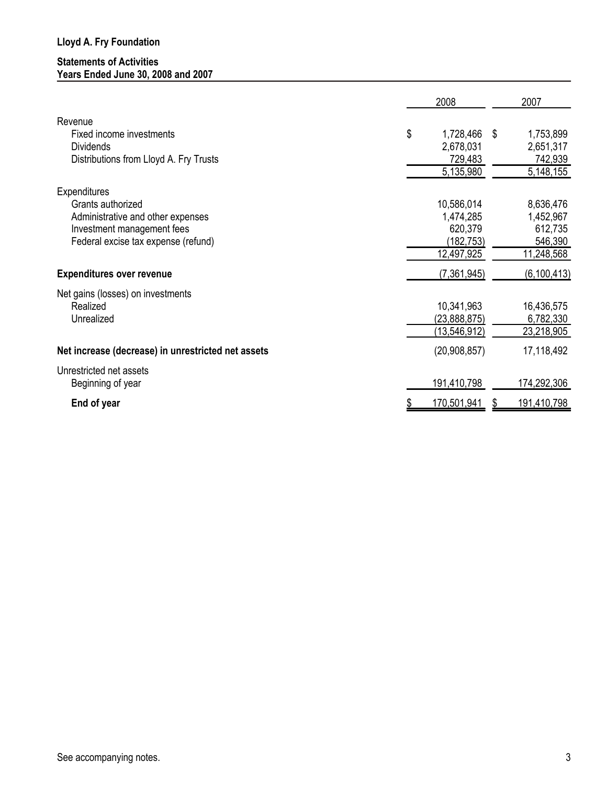#### Statements of Activities Years Ended June 30, 2008 and 2007

|                                                                                                                                             | 2008                                                           |    | 2007                                                       |
|---------------------------------------------------------------------------------------------------------------------------------------------|----------------------------------------------------------------|----|------------------------------------------------------------|
| Revenue<br>Fixed income investments<br><b>Dividends</b>                                                                                     | \$<br>1,728,466<br>2,678,031                                   | S  | 1,753,899<br>2,651,317                                     |
| Distributions from Lloyd A. Fry Trusts                                                                                                      | 729,483<br>5,135,980                                           |    | 742,939<br>5,148,155                                       |
| Expenditures<br>Grants authorized<br>Administrative and other expenses<br>Investment management fees<br>Federal excise tax expense (refund) | 10,586,014<br>1,474,285<br>620,379<br>(182, 753)<br>12,497,925 |    | 8,636,476<br>1,452,967<br>612,735<br>546,390<br>11,248,568 |
| <b>Expenditures over revenue</b>                                                                                                            | (7,361,945)                                                    |    | (6, 100, 413)                                              |
| Net gains (losses) on investments<br>Realized<br>Unrealized                                                                                 | 10,341,963<br>(23,888,875)<br>(13, 546, 912)                   |    | 16,436,575<br>6,782,330<br>23,218,905                      |
| Net increase (decrease) in unrestricted net assets                                                                                          | (20, 908, 857)                                                 |    | 17,118,492                                                 |
| Unrestricted net assets<br>Beginning of year                                                                                                | 191,410,798                                                    |    | 174,292,306                                                |
| End of year                                                                                                                                 | 170,501,941                                                    | æ. | 191,410,798                                                |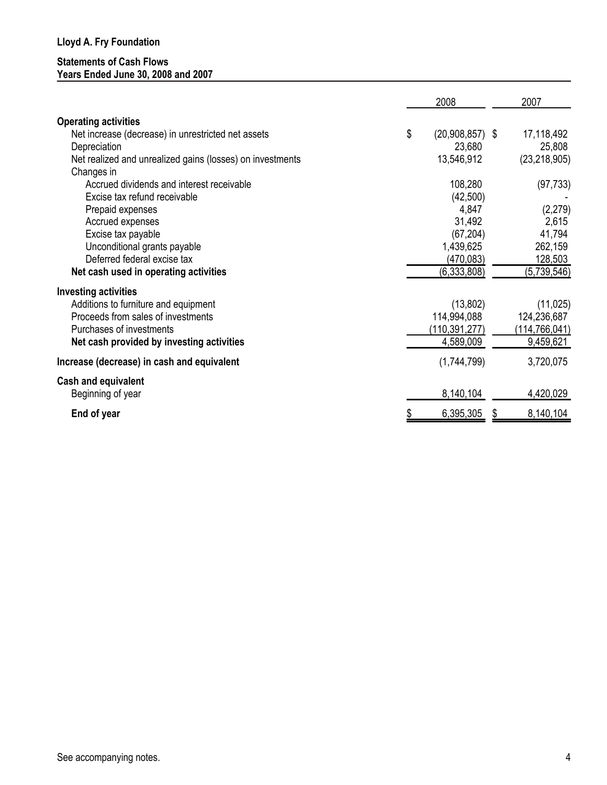#### Statements of Cash Flows Years Ended June 30, 2008 and 2007

|                                                           | 2008                    |   | 2007            |
|-----------------------------------------------------------|-------------------------|---|-----------------|
| <b>Operating activities</b>                               |                         |   |                 |
| Net increase (decrease) in unrestricted net assets        | \$<br>$(20,908,857)$ \$ |   | 17,118,492      |
| Depreciation                                              | 23,680                  |   | 25,808          |
| Net realized and unrealized gains (losses) on investments | 13,546,912              |   | (23, 218, 905)  |
| Changes in                                                |                         |   |                 |
| Accrued dividends and interest receivable                 | 108,280                 |   | (97, 733)       |
| Excise tax refund receivable                              | (42,500)                |   |                 |
| Prepaid expenses                                          | 4,847                   |   | (2, 279)        |
| Accrued expenses                                          | 31,492                  |   | 2,615           |
| Excise tax payable                                        | (67, 204)               |   | 41,794          |
| Unconditional grants payable                              | 1,439,625               |   | 262,159         |
| Deferred federal excise tax                               | (470, 083)              |   | 128,503         |
| Net cash used in operating activities                     | (6,333,808)             |   | (5,739,546)     |
| <b>Investing activities</b>                               |                         |   |                 |
| Additions to furniture and equipment                      | (13,802)                |   | (11, 025)       |
| Proceeds from sales of investments                        | 114,994,088             |   | 124,236,687     |
| Purchases of investments                                  | (110, 391, 277)         |   | (114, 766, 041) |
| Net cash provided by investing activities                 | 4,589,009               |   | 9,459,621       |
| Increase (decrease) in cash and equivalent                | (1,744,799)             |   | 3,720,075       |
| <b>Cash and equivalent</b>                                |                         |   |                 |
| Beginning of year                                         | 8,140,104               |   | 4,420,029       |
| End of year                                               | 6,395,305               | S | 8,140,104       |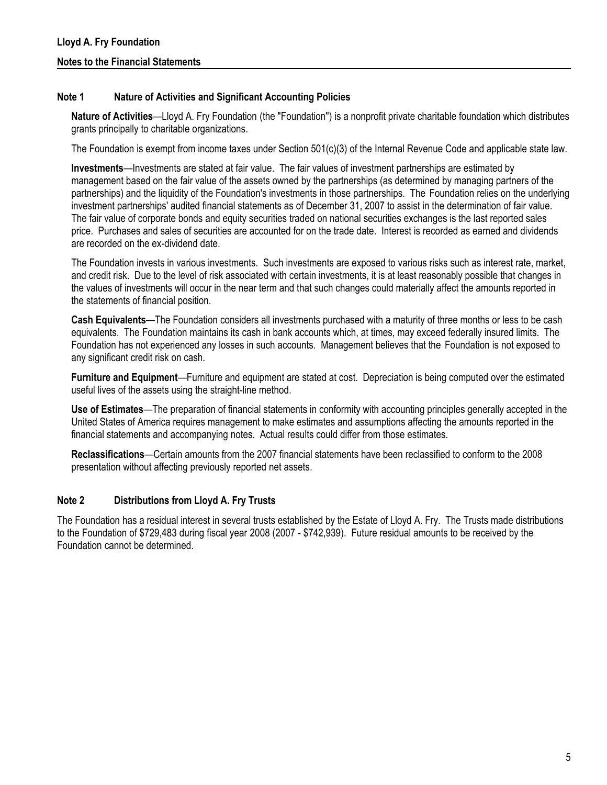#### Note 1 Nature of Activities and Significant Accounting Policies

Nature of Activities—Lloyd A. Fry Foundation (the "Foundation") is a nonprofit private charitable foundation which distributes grants principally to charitable organizations.

The Foundation is exempt from income taxes under Section 501(c)(3) of the Internal Revenue Code and applicable state law.

Investments—Investments are stated at fair value. The fair values of investment partnerships are estimated by management based on the fair value of the assets owned by the partnerships (as determined by managing partners of the partnerships) and the liquidity of the Foundation's investments in those partnerships. The Foundation relies on the underlying investment partnerships' audited financial statements as of December 31, 2007 to assist in the determination of fair value. The fair value of corporate bonds and equity securities traded on national securities exchanges is the last reported sales price. Purchases and sales of securities are accounted for on the trade date. Interest is recorded as earned and dividends are recorded on the ex-dividend date.

The Foundation invests in various investments. Such investments are exposed to various risks such as interest rate, market, and credit risk. Due to the level of risk associated with certain investments, it is at least reasonably possible that changes in the values of investments will occur in the near term and that such changes could materially affect the amounts reported in the statements of financial position.

Cash Equivalents—The Foundation considers all investments purchased with a maturity of three months or less to be cash equivalents. The Foundation maintains its cash in bank accounts which, at times, may exceed federally insured limits. The Foundation has not experienced any losses in such accounts. Management believes that the Foundation is not exposed to any significant credit risk on cash.

Furniture and Equipment—Furniture and equipment are stated at cost. Depreciation is being computed over the estimated useful lives of the assets using the straight-line method.

Use of Estimates—The preparation of financial statements in conformity with accounting principles generally accepted in the United States of America requires management to make estimates and assumptions affecting the amounts reported in the financial statements and accompanying notes. Actual results could differ from those estimates.

Reclassifications—Certain amounts from the 2007 financial statements have been reclassified to conform to the 2008 presentation without affecting previously reported net assets.

#### Note 2 Distributions from Lloyd A. Fry Trusts

The Foundation has a residual interest in several trusts established by the Estate of Lloyd A. Fry. The Trusts made distributions to the Foundation of \$729,483 during fiscal year 2008 (2007 - \$742,939). Future residual amounts to be received by the Foundation cannot be determined.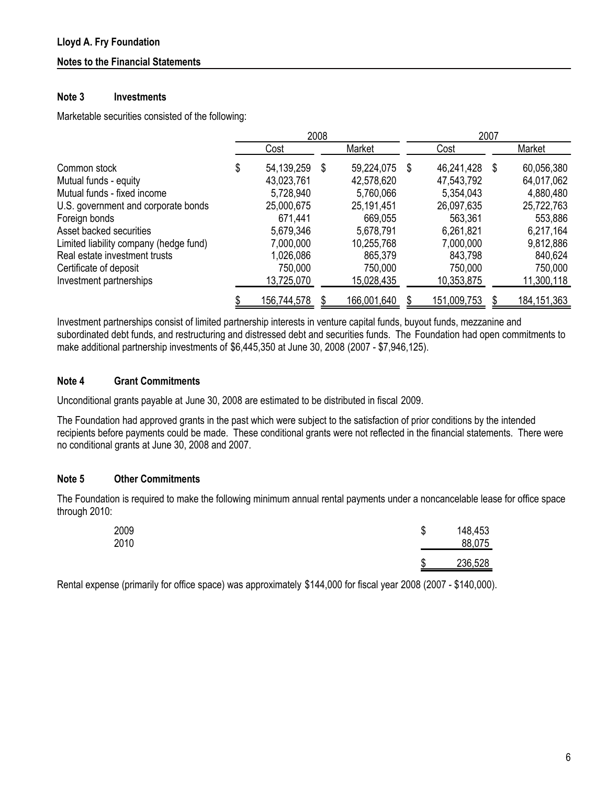#### Notes to the Financial Statements

#### Note 3 Investments

Marketable securities consisted of the following:

|                                        | 2008               |      |             |   | 2007        |   |               |
|----------------------------------------|--------------------|------|-------------|---|-------------|---|---------------|
|                                        | Cost               |      | Market      |   | Cost        |   | Market        |
| Common stock                           | \$<br>54, 139, 259 | - \$ | 59,224,075  | S | 46,241,428  | S | 60,056,380    |
| Mutual funds - equity                  | 43,023,761         |      | 42,578,620  |   | 47,543,792  |   | 64,017,062    |
| Mutual funds - fixed income            | 5,728,940          |      | 5,760,066   |   | 5,354,043   |   | 4,880,480     |
| U.S. government and corporate bonds    | 25,000,675         |      | 25,191,451  |   | 26,097,635  |   | 25,722,763    |
| Foreign bonds                          | 671,441            |      | 669,055     |   | 563,361     |   | 553,886       |
| Asset backed securities                | 5,679,346          |      | 5,678,791   |   | 6,261,821   |   | 6,217,164     |
| Limited liability company (hedge fund) | 7,000,000          |      | 10,255,768  |   | 7,000,000   |   | 9,812,886     |
| Real estate investment trusts          | 1,026,086          |      | 865,379     |   | 843,798     |   | 840,624       |
| Certificate of deposit                 | 750,000            |      | 750,000     |   | 750,000     |   | 750,000       |
| Investment partnerships                | 13,725,070         |      | 15,028,435  |   | 10,353,875  |   | 11,300,118    |
|                                        | 156,744,578        |      | 166,001,640 |   | 151,009,753 |   | 184, 151, 363 |

Investment partnerships consist of limited partnership interests in venture capital funds, buyout funds, mezzanine and subordinated debt funds, and restructuring and distressed debt and securities funds. The Foundation had open commitments to make additional partnership investments of \$6,445,350 at June 30, 2008 (2007 - \$7,946,125).

#### Note 4 Grant Commitments

Unconditional grants payable at June 30, 2008 are estimated to be distributed in fiscal 2009.

The Foundation had approved grants in the past which were subject to the satisfaction of prior conditions by the intended recipients before payments could be made. These conditional grants were not reflected in the financial statements. There were no conditional grants at June 30, 2008 and 2007.

#### Note 5 Other Commitments

The Foundation is required to make the following minimum annual rental payments under a noncancelable lease for office space through 2010:

| 2009<br>2010 | S | 148,453<br>88,075 |
|--------------|---|-------------------|
|              | S | 236,528           |

Rental expense (primarily for office space) was approximately \$144,000 for fiscal year 2008 (2007 - \$140,000).